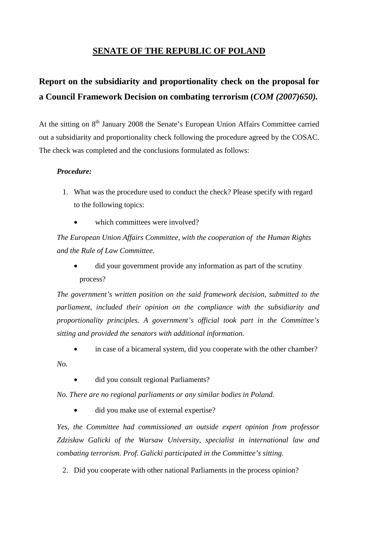## **SENATE OF THE REPUBLIC OF POLAND**

## **Report on the subsidiarity and proportionality check on the proposal for a Council Framework Decision on combating terrorism (***COM (2007)650).*

At the sitting on 8<sup>th</sup> January 2008 the Senate's European Union Affairs Committee carried out a subsidiarity and proportionality check following the procedure agreed by the COSAC. The check was completed and the conclusions formulated as follows:

## *Procedure:*

- 1. What was the procedure used to conduct the check? Please specify with regard to the following topics:
	- which committees were involved?

*The European Union Affairs Committee, with the cooperation of the Human Rights and the Rule of Law Committee.*

did your government provide any information as part of the scrutiny process?

*The government's written position on the said framework decision, submitted to the parliament, included their opinion on the compliance with the subsidiarity and proportionality principles. A government's official took part in the Committee's sitting and provided the senators with additional information.*

in case of a bicameral system, did you cooperate with the other chamber?

*No.*

did you consult regional Parliaments?

*No. There are no regional parliaments or any similar bodies in Poland.*

did you make use of external expertise?

*Yes, the Committee had commissioned an outside expert opinion from professor Zdzisław Galicki of the Warsaw University, specialist in international law and combating terrorism. Prof. Galicki participated in the Committee's sitting.*

2. Did you cooperate with other national Parliaments in the process opinion?